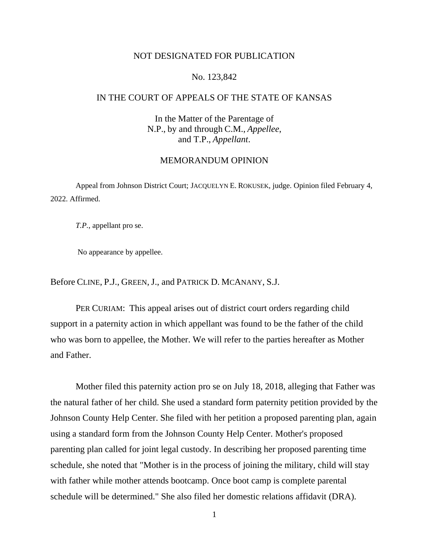### NOT DESIGNATED FOR PUBLICATION

### No. 123,842

# IN THE COURT OF APPEALS OF THE STATE OF KANSAS

In the Matter of the Parentage of N.P., by and through C.M., *Appellee*, and T.P., *Appellant*.

#### MEMORANDUM OPINION

Appeal from Johnson District Court; JACQUELYN E. ROKUSEK, judge. Opinion filed February 4, 2022. Affirmed.

*T.P.*, appellant pro se.

No appearance by appellee.

Before CLINE, P.J., GREEN, J., and PATRICK D. MCANANY, S.J.

PER CURIAM: This appeal arises out of district court orders regarding child support in a paternity action in which appellant was found to be the father of the child who was born to appellee, the Mother. We will refer to the parties hereafter as Mother and Father.

Mother filed this paternity action pro se on July 18, 2018, alleging that Father was the natural father of her child. She used a standard form paternity petition provided by the Johnson County Help Center. She filed with her petition a proposed parenting plan, again using a standard form from the Johnson County Help Center. Mother's proposed parenting plan called for joint legal custody. In describing her proposed parenting time schedule, she noted that "Mother is in the process of joining the military, child will stay with father while mother attends bootcamp. Once boot camp is complete parental schedule will be determined." She also filed her domestic relations affidavit (DRA).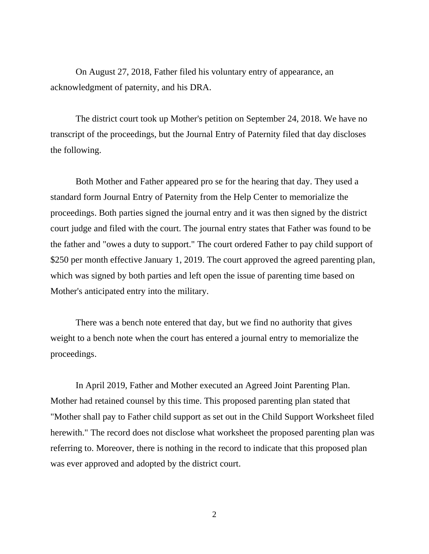On August 27, 2018, Father filed his voluntary entry of appearance, an acknowledgment of paternity, and his DRA.

The district court took up Mother's petition on September 24, 2018. We have no transcript of the proceedings, but the Journal Entry of Paternity filed that day discloses the following.

Both Mother and Father appeared pro se for the hearing that day. They used a standard form Journal Entry of Paternity from the Help Center to memorialize the proceedings. Both parties signed the journal entry and it was then signed by the district court judge and filed with the court. The journal entry states that Father was found to be the father and "owes a duty to support." The court ordered Father to pay child support of \$250 per month effective January 1, 2019. The court approved the agreed parenting plan, which was signed by both parties and left open the issue of parenting time based on Mother's anticipated entry into the military.

There was a bench note entered that day, but we find no authority that gives weight to a bench note when the court has entered a journal entry to memorialize the proceedings.

In April 2019, Father and Mother executed an Agreed Joint Parenting Plan. Mother had retained counsel by this time. This proposed parenting plan stated that "Mother shall pay to Father child support as set out in the Child Support Worksheet filed herewith." The record does not disclose what worksheet the proposed parenting plan was referring to. Moreover, there is nothing in the record to indicate that this proposed plan was ever approved and adopted by the district court.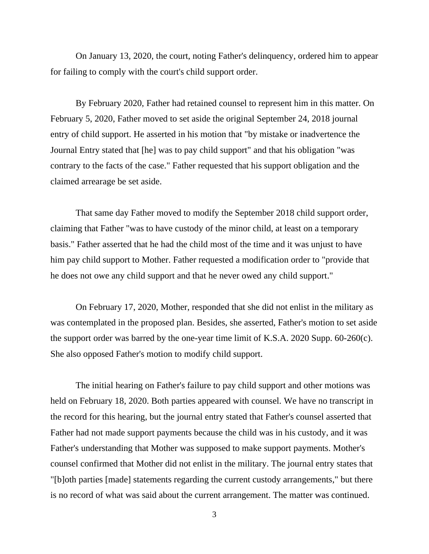On January 13, 2020, the court, noting Father's delinquency, ordered him to appear for failing to comply with the court's child support order.

By February 2020, Father had retained counsel to represent him in this matter. On February 5, 2020, Father moved to set aside the original September 24, 2018 journal entry of child support. He asserted in his motion that "by mistake or inadvertence the Journal Entry stated that [he] was to pay child support" and that his obligation "was contrary to the facts of the case." Father requested that his support obligation and the claimed arrearage be set aside.

That same day Father moved to modify the September 2018 child support order, claiming that Father "was to have custody of the minor child, at least on a temporary basis." Father asserted that he had the child most of the time and it was unjust to have him pay child support to Mother. Father requested a modification order to "provide that he does not owe any child support and that he never owed any child support."

On February 17, 2020, Mother, responded that she did not enlist in the military as was contemplated in the proposed plan. Besides, she asserted, Father's motion to set aside the support order was barred by the one-year time limit of K.S.A. 2020 Supp. 60-260(c). She also opposed Father's motion to modify child support.

The initial hearing on Father's failure to pay child support and other motions was held on February 18, 2020. Both parties appeared with counsel. We have no transcript in the record for this hearing, but the journal entry stated that Father's counsel asserted that Father had not made support payments because the child was in his custody, and it was Father's understanding that Mother was supposed to make support payments. Mother's counsel confirmed that Mother did not enlist in the military. The journal entry states that "[b]oth parties [made] statements regarding the current custody arrangements," but there is no record of what was said about the current arrangement. The matter was continued.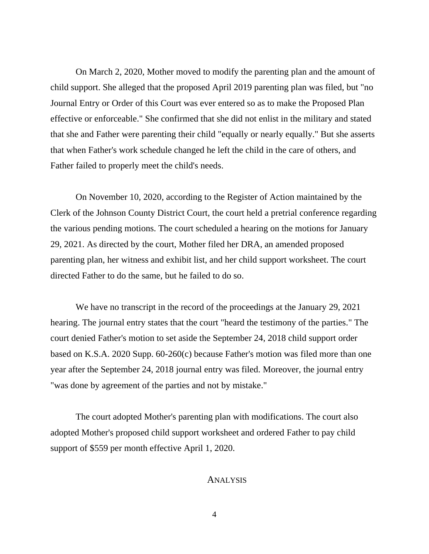On March 2, 2020, Mother moved to modify the parenting plan and the amount of child support. She alleged that the proposed April 2019 parenting plan was filed, but "no Journal Entry or Order of this Court was ever entered so as to make the Proposed Plan effective or enforceable." She confirmed that she did not enlist in the military and stated that she and Father were parenting their child "equally or nearly equally." But she asserts that when Father's work schedule changed he left the child in the care of others, and Father failed to properly meet the child's needs.

On November 10, 2020, according to the Register of Action maintained by the Clerk of the Johnson County District Court, the court held a pretrial conference regarding the various pending motions. The court scheduled a hearing on the motions for January 29, 2021. As directed by the court, Mother filed her DRA, an amended proposed parenting plan, her witness and exhibit list, and her child support worksheet. The court directed Father to do the same, but he failed to do so.

We have no transcript in the record of the proceedings at the January 29, 2021 hearing. The journal entry states that the court "heard the testimony of the parties." The court denied Father's motion to set aside the September 24, 2018 child support order based on K.S.A. 2020 Supp. 60-260(c) because Father's motion was filed more than one year after the September 24, 2018 journal entry was filed. Moreover, the journal entry "was done by agreement of the parties and not by mistake."

The court adopted Mother's parenting plan with modifications. The court also adopted Mother's proposed child support worksheet and ordered Father to pay child support of \$559 per month effective April 1, 2020.

### ANALYSIS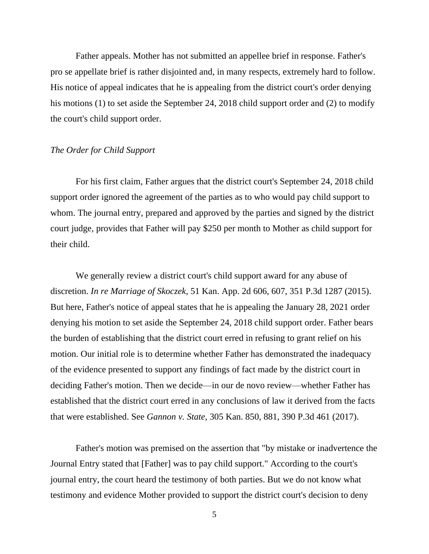Father appeals. Mother has not submitted an appellee brief in response. Father's pro se appellate brief is rather disjointed and, in many respects, extremely hard to follow. His notice of appeal indicates that he is appealing from the district court's order denying his motions (1) to set aside the September 24, 2018 child support order and (2) to modify the court's child support order.

## *The Order for Child Support*

For his first claim, Father argues that the district court's September 24, 2018 child support order ignored the agreement of the parties as to who would pay child support to whom. The journal entry, prepared and approved by the parties and signed by the district court judge, provides that Father will pay \$250 per month to Mother as child support for their child.

We generally review a district court's child support award for any abuse of discretion. *In re Marriage of Skoczek*, 51 Kan. App. 2d 606, 607, 351 P.3d 1287 (2015). But here, Father's notice of appeal states that he is appealing the January 28, 2021 order denying his motion to set aside the September 24, 2018 child support order. Father bears the burden of establishing that the district court erred in refusing to grant relief on his motion. Our initial role is to determine whether Father has demonstrated the inadequacy of the evidence presented to support any findings of fact made by the district court in deciding Father's motion. Then we decide—in our de novo review—whether Father has established that the district court erred in any conclusions of law it derived from the facts that were established. See *Gannon v. State*, 305 Kan. 850, 881, 390 P.3d 461 (2017).

Father's motion was premised on the assertion that "by mistake or inadvertence the Journal Entry stated that [Father] was to pay child support." According to the court's journal entry, the court heard the testimony of both parties. But we do not know what testimony and evidence Mother provided to support the district court's decision to deny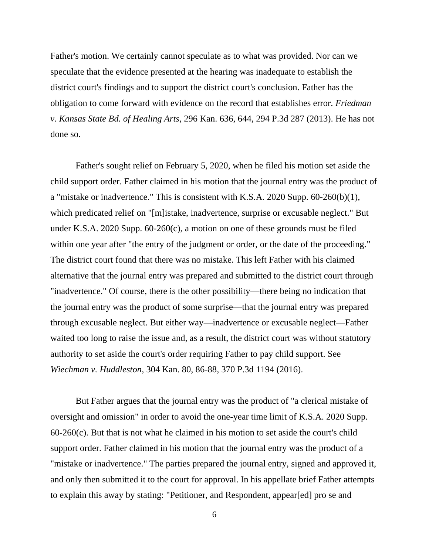Father's motion. We certainly cannot speculate as to what was provided. Nor can we speculate that the evidence presented at the hearing was inadequate to establish the district court's findings and to support the district court's conclusion. Father has the obligation to come forward with evidence on the record that establishes error. *Friedman v. Kansas State Bd. of Healing Arts*, 296 Kan. 636, 644, 294 P.3d 287 (2013). He has not done so.

Father's sought relief on February 5, 2020, when he filed his motion set aside the child support order. Father claimed in his motion that the journal entry was the product of a "mistake or inadvertence." This is consistent with K.S.A. 2020 Supp. 60-260(b)(1), which predicated relief on "[m]istake, inadvertence, surprise or excusable neglect." But under K.S.A. 2020 Supp. 60-260(c), a motion on one of these grounds must be filed within one year after "the entry of the judgment or order, or the date of the proceeding." The district court found that there was no mistake. This left Father with his claimed alternative that the journal entry was prepared and submitted to the district court through "inadvertence." Of course, there is the other possibility—there being no indication that the journal entry was the product of some surprise—that the journal entry was prepared through excusable neglect. But either way—inadvertence or excusable neglect—Father waited too long to raise the issue and, as a result, the district court was without statutory authority to set aside the court's order requiring Father to pay child support. See *Wiechman v. Huddleston*, 304 Kan. 80, 86-88, 370 P.3d 1194 (2016).

But Father argues that the journal entry was the product of "a clerical mistake of oversight and omission" in order to avoid the one-year time limit of K.S.A. 2020 Supp.  $60-260(c)$ . But that is not what he claimed in his motion to set aside the court's child support order. Father claimed in his motion that the journal entry was the product of a "mistake or inadvertence." The parties prepared the journal entry, signed and approved it, and only then submitted it to the court for approval. In his appellate brief Father attempts to explain this away by stating: "Petitioner, and Respondent, appear[ed] pro se and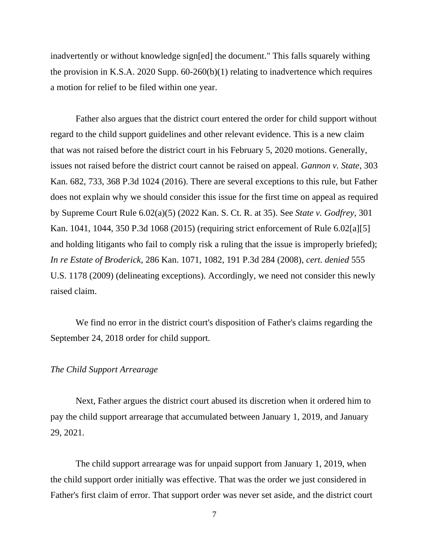inadvertently or without knowledge sign[ed] the document." This falls squarely withing the provision in K.S.A. 2020 Supp. 60-260(b)(1) relating to inadvertence which requires a motion for relief to be filed within one year.

Father also argues that the district court entered the order for child support without regard to the child support guidelines and other relevant evidence. This is a new claim that was not raised before the district court in his February 5, 2020 motions. Generally, issues not raised before the district court cannot be raised on appeal. *Gannon v. State*, 303 Kan. 682, 733, 368 P.3d 1024 (2016). There are several exceptions to this rule, but Father does not explain why we should consider this issue for the first time on appeal as required by Supreme Court Rule 6.02(a)(5) (2022 Kan. S. Ct. R. at 35). See *State v. Godfrey*, 301 Kan. 1041, 1044, 350 P.3d 1068 (2015) (requiring strict enforcement of Rule 6.02[a][5] and holding litigants who fail to comply risk a ruling that the issue is improperly briefed); *In re Estate of Broderick*, 286 Kan. 1071, 1082, 191 P.3d 284 (2008), *cert. denied* 555 U.S. 1178 (2009) (delineating exceptions). Accordingly, we need not consider this newly raised claim.

We find no error in the district court's disposition of Father's claims regarding the September 24, 2018 order for child support.

#### *The Child Support Arrearage*

Next, Father argues the district court abused its discretion when it ordered him to pay the child support arrearage that accumulated between January 1, 2019, and January 29, 2021.

The child support arrearage was for unpaid support from January 1, 2019, when the child support order initially was effective. That was the order we just considered in Father's first claim of error. That support order was never set aside, and the district court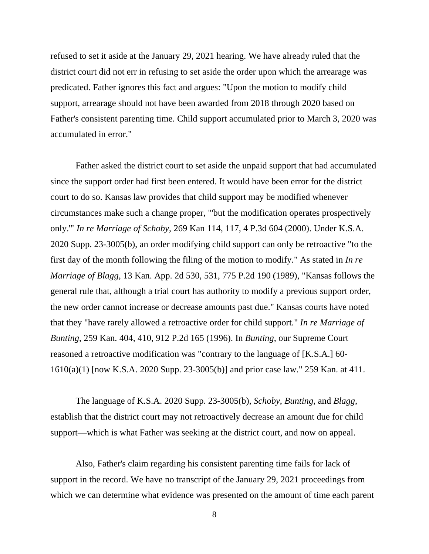refused to set it aside at the January 29, 2021 hearing. We have already ruled that the district court did not err in refusing to set aside the order upon which the arrearage was predicated. Father ignores this fact and argues: "Upon the motion to modify child support, arrearage should not have been awarded from 2018 through 2020 based on Father's consistent parenting time. Child support accumulated prior to March 3, 2020 was accumulated in error."

Father asked the district court to set aside the unpaid support that had accumulated since the support order had first been entered. It would have been error for the district court to do so. Kansas law provides that child support may be modified whenever circumstances make such a change proper, "'but the modification operates prospectively only.'" *In re Marriage of Schoby*, 269 Kan 114, 117, 4 P.3d 604 (2000). Under K.S.A. 2020 Supp. 23-3005(b), an order modifying child support can only be retroactive "to the first day of the month following the filing of the motion to modify." As stated in *In re Marriage of Blagg*, 13 Kan. App. 2d 530, 531, 775 P.2d 190 (1989), "Kansas follows the general rule that, although a trial court has authority to modify a previous support order, the new order cannot increase or decrease amounts past due." Kansas courts have noted that they "have rarely allowed a retroactive order for child support*.*" *In re Marriage of Bunting*, 259 Kan. 404, 410, 912 P.2d 165 (1996). In *Bunting*, our Supreme Court reasoned a retroactive modification was "contrary to the language of [K.S.A.] 60- 1610(a)(1) [now K.S.A. 2020 Supp. 23-3005(b)] and prior case law." 259 Kan. at 411.

The language of K.S.A. 2020 Supp. 23-3005(b), *Schoby*, *Bunting*, and *Blagg*, establish that the district court may not retroactively decrease an amount due for child support—which is what Father was seeking at the district court, and now on appeal.

Also, Father's claim regarding his consistent parenting time fails for lack of support in the record. We have no transcript of the January 29, 2021 proceedings from which we can determine what evidence was presented on the amount of time each parent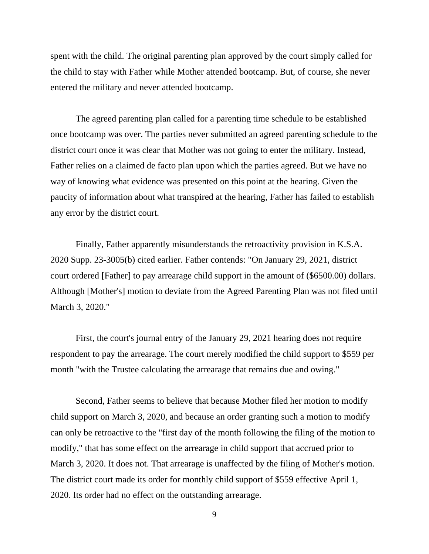spent with the child. The original parenting plan approved by the court simply called for the child to stay with Father while Mother attended bootcamp. But, of course, she never entered the military and never attended bootcamp.

The agreed parenting plan called for a parenting time schedule to be established once bootcamp was over. The parties never submitted an agreed parenting schedule to the district court once it was clear that Mother was not going to enter the military. Instead, Father relies on a claimed de facto plan upon which the parties agreed. But we have no way of knowing what evidence was presented on this point at the hearing. Given the paucity of information about what transpired at the hearing, Father has failed to establish any error by the district court.

Finally, Father apparently misunderstands the retroactivity provision in K.S.A. 2020 Supp. 23-3005(b) cited earlier. Father contends: "On January 29, 2021, district court ordered [Father] to pay arrearage child support in the amount of (\$6500.00) dollars. Although [Mother's] motion to deviate from the Agreed Parenting Plan was not filed until March 3, 2020."

First, the court's journal entry of the January 29, 2021 hearing does not require respondent to pay the arrearage. The court merely modified the child support to \$559 per month "with the Trustee calculating the arrearage that remains due and owing."

Second, Father seems to believe that because Mother filed her motion to modify child support on March 3, 2020, and because an order granting such a motion to modify can only be retroactive to the "first day of the month following the filing of the motion to modify," that has some effect on the arrearage in child support that accrued prior to March 3, 2020. It does not. That arrearage is unaffected by the filing of Mother's motion. The district court made its order for monthly child support of \$559 effective April 1, 2020. Its order had no effect on the outstanding arrearage.